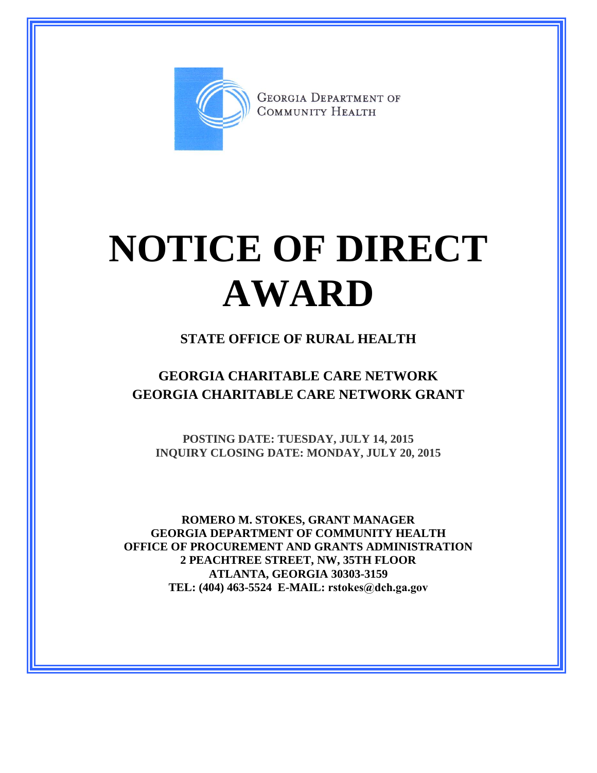

**GEORGIA DEPARTMENT OF** COMMUNITY HEALTH

# **NOTICE OF DIRECT AWARD**

#### **STATE OFFICE OF RURAL HEALTH**

### **GEORGIA CHARITABLE CARE NETWORK GEORGIA CHARITABLE CARE NETWORK GRANT**

**POSTING DATE: TUESDAY, JULY 14, 2015 INQUIRY CLOSING DATE: MONDAY, JULY 20, 2015**

**ROMERO M. STOKES, GRANT MANAGER GEORGIA DEPARTMENT OF COMMUNITY HEALTH OFFICE OF PROCUREMENT AND GRANTS ADMINISTRATION 2 PEACHTREE STREET, NW, 35TH FLOOR ATLANTA, GEORGIA 30303-3159 TEL: (404) 463-5524 E-MAIL: rstokes@dch.ga.gov**